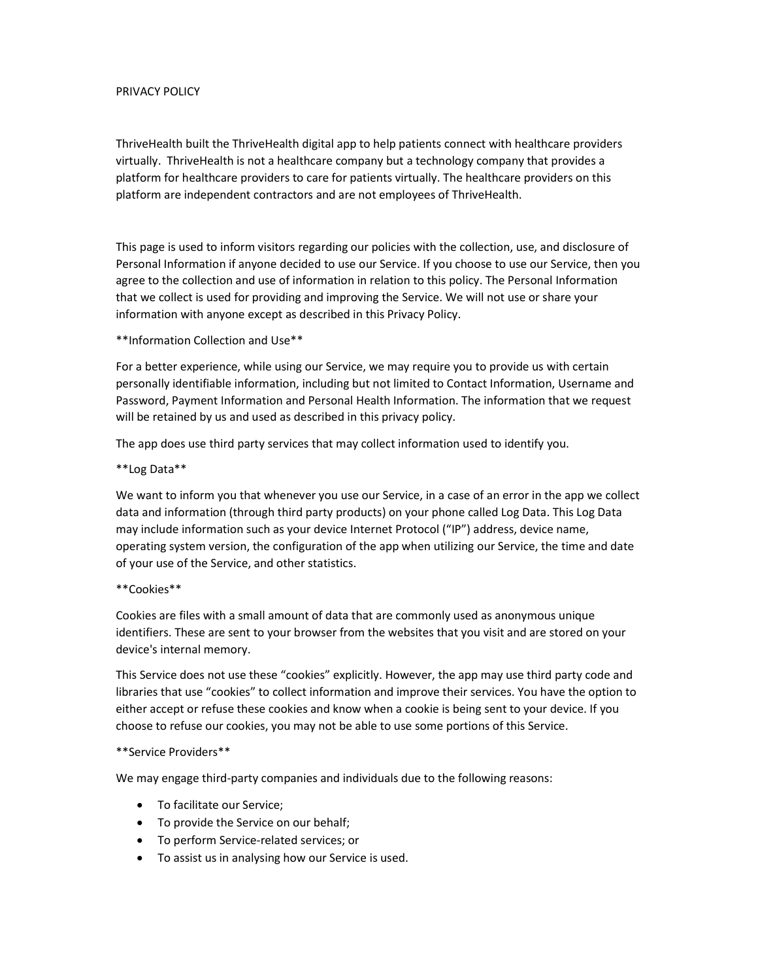## PRIVACY POLICY

ThriveHealth built the ThriveHealth digital app to help patients connect with healthcare providers virtually. ThriveHealth is not a healthcare company but a technology company that provides a platform for healthcare providers to care for patients virtually. The healthcare providers on this platform are independent contractors and are not employees of ThriveHealth.

This page is used to inform visitors regarding our policies with the collection, use, and disclosure of Personal Information if anyone decided to use our Service. If you choose to use our Service, then you agree to the collection and use of information in relation to this policy. The Personal Information that we collect is used for providing and improving the Service. We will not use or share your information with anyone except as described in this Privacy Policy.

\*\*Information Collection and Use\*\*

For a better experience, while using our Service, we may require you to provide us with certain personally identifiable information, including but not limited to Contact Information, Username and Password, Payment Information and Personal Health Information. The information that we request will be retained by us and used as described in this privacy policy.

The app does use third party services that may collect information used to identify you.

\*\*Log Data\*\*

We want to inform you that whenever you use our Service, in a case of an error in the app we collect data and information (through third party products) on your phone called Log Data. This Log Data may include information such as your device Internet Protocol ("IP") address, device name, operating system version, the configuration of the app when utilizing our Service, the time and date of your use of the Service, and other statistics.

## \*\*Cookies\*\*

Cookies are files with a small amount of data that are commonly used as anonymous unique identifiers. These are sent to your browser from the websites that you visit and are stored on your device's internal memory.

This Service does not use these "cookies" explicitly. However, the app may use third party code and libraries that use "cookies" to collect information and improve their services. You have the option to either accept or refuse these cookies and know when a cookie is being sent to your device. If you choose to refuse our cookies, you may not be able to use some portions of this Service.

## \*\*Service Providers\*\*

We may engage third-party companies and individuals due to the following reasons:

- To facilitate our Service;
- To provide the Service on our behalf;
- To perform Service-related services; or
- To assist us in analysing how our Service is used.